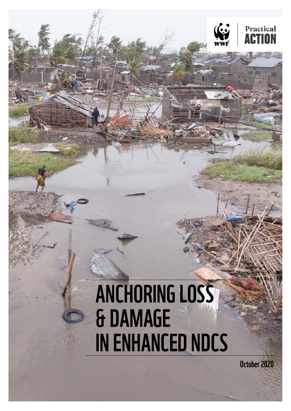

# ANCHORING LOSS & DAMAGE IN ENHANCED NDCS

October 2020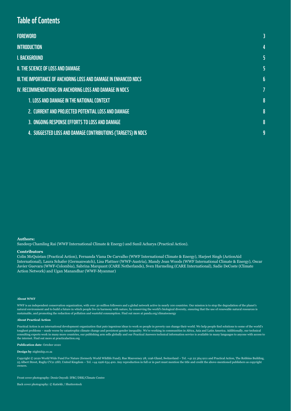### Table of Contents

| <b>FOREWORD</b>                                                   |   |
|-------------------------------------------------------------------|---|
| <b>INTRODUCTION</b>                                               | 4 |
| I. BACKGROUND                                                     | 5 |
| II. THE SCIENCE OF LOSS AND DAMAGE                                | 5 |
| III. THE IMPORTANCE OF ANCHORING LOSS AND DAMAGE IN ENHANCED NDCS | 6 |
| <u>IV. RECOMMENDATIONS ON ANCHORING LOSS AND DAMAGE IN NDCS</u>   | 7 |
| <b>1. LOSS AND DAMAGE IN THE NATIONAL CONTEXT</b>                 | 8 |
| 2. CURRENT AND PROJECTED POTENTIAL LOSS AND DAMAGE                | 8 |
| 3. ONGOING RESPONSE EFFORTS TO LOSS AND DAMAGE                    | 8 |
| 4. SUGGESTED LOSS AND DAMAGE CONTRIBUTIONS (TARGETS) IN NDCS      | 9 |

#### **Authors:**

Sandeep Chamling Rai (WWF International Climate & Energy) and Sunil Acharya (Practical Action).

#### **Contributors**

Colin McQuistan (Practical Action), Fernanda Viana De Carvalho (WWF International Climate & Energy), Harjeet Singh (ActionAid International), Laura Schafer (Germanwatch), Lisa Plattner (WWF-Austria), Mandy Jean Woods (WWF International Climate & Energy), Oscar Javier Guevara (WWF-Colombia), Sabrina Marquant (CARE Netherlands), Sven Harmeling (CARE International), Sadie DeCoste (Climate Action Network) and Ugan Manandhar (WWF-Myanmar)

### **About WWF**

WWF is an independent conservation organization, with over 30 million followers and a global network active in nearly 100 countries. Our mission is to stop the degradation of the planet's natural environment and to build a future in which people live in harmony with nature, by conserving the world's biological diversity, ensuring that the use of renewable natural resources is sustainable, and promoting the reduction of pollution and wasteful consumption. Find out more at panda.org/climateenergy

#### **About Practical Action**

Practical Action is an international development organization that puts ingenious ideas to work so people ine vorld, we help people find solutions to some of the world's<br>toughest problems – made worse by catastrophic clima consulting experts work in many more countries, our publishing arm sells globally and our Practical Answers technical information service is available in many languages to anyone with access to the internet. Find out more at practicalaction.org

#### **Publication date**: October 2020

#### **Design by** 1tightship.co.za

Copyright © 2020 World Wide Fund For Nature (formerly World Wildlife Fund), Rue Mauverney 28, 1196 Gland, Switzerland – Tel. +41 22 364 9111 and Practical Action, The Robbins Building, 25 Albert Street, Rugby CV21 2SD, United Kingdom – Tel. +44 1926 634 400. Any reproduction in full or in part must mention the title and credit the above-mentioned publishers as copyright owners.

#### Front cover photography: Denis Onyodi: IFRC/DRK/Climate Centre

Back cover photography: © Katiekk / Shutterstock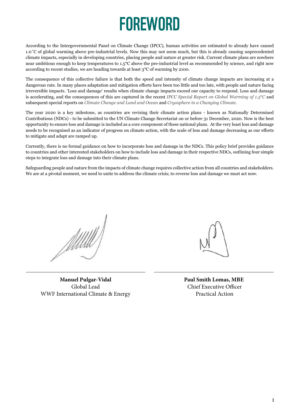## **FOREWORD**

<span id="page-2-0"></span>According to the Intergovernmental Panel on Climate Change (IPCC), human activities are estimated to already have caused 1.0˚C of global warming above pre-industrial levels. Now this may not seem much, but this is already causing unprecedented climate impacts, especially in developing countries, placing people and nature at greater risk. Current climate plans are nowhere near ambitious enough to keep temperatures to 1.5°C above the pre-industrial level as recommended by science, and right now according to recent studies, we are heading towards at least 3°C of warming by 2100.

The consequence of this collective failure is that both the speed and intensity of climate change impacts are increasing at a dangerous rate. In many places adaptation and mitigation efforts have been too little and too late, with people and nature facing irreversible impacts. 'Loss and damage' results when climate change impacts exceed our capacity to respond. Loss and damage is accelerating, and the consequences of this are captured in the recent *[IPCC Special Report on Global Warming of 1.5](https://www.ipcc.ch/sr15/)*°*C* and subsequent special reports on *[Climate Change and Land and Ocean](https://www.ipcc.ch/srccl/)* and *[Cryosphere in a Changing Climate](https://www.ipcc.ch/srocc/)*.

The year 2020 is a key milestone, as countries are revising their climate action plans - known as Nationally Determined Contributions (NDCs) - to be submitted to the UN Climate Change Secretariat on or before 31 December, 2020. Now is the best opportunity to ensure loss and damage is included as a core component of these national plans. At the very least loss and damage needs to be recognised as an indicator of progress on climate action, with the scale of loss and damage decreasing as our efforts to mitigate and adapt are ramped up.

Currently, there is no formal guidance on how to incorporate loss and damage in the NDCs. This policy brief provides guidance to countries and other interested stakeholders on how to include loss and damage in their respective NDCs, outlining four simple steps to integrate loss and damage into their climate plans.

Safeguarding people and nature from the impacts of climate change requires collective action from all countries and stakeholders. We are at a pivotal moment, we need to unite to address the climate crisis; to reverse loss and damage we must act now.

Allill

**Manuel Pulgar-Vidal** Global Lead WWF International Climate & Energy

**Paul Smith Lomas, MBE** Chief Executive Officer Practical Action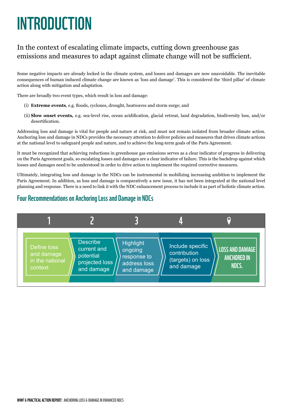## <span id="page-3-0"></span>**INTRODUCTION**

### In the context of escalating climate impacts, cutting down greenhouse gas emissions and measures to adapt against climate change will not be sufficient.

Some negative impacts are already locked in the climate system, and losses and damages are now unavoidable. The inevitable consequences of human induced climate change are known as 'loss and damage'. This is considered the 'third pillar' of climate action along with mitigation and adaptation.

There are broadly two event types, which result in loss and damage:

- (i) **Extreme events**, e.g. floods, cyclones, drought, heatwaves and storm surge; and
- (ii) **Slow onset events,** e.g. sea-level rise, ocean acidification, glacial retreat, land degradation, biodiversity loss, and/or desertification.

Addressing loss and damage is vital for people and nature at risk, and must not remain isolated from broader climate action. Anchoring loss and damage in NDCs provides the necessary attention to deliver policies and measures that drives climate actions at the national level to safeguard people and nature, and to achieve the long-term goals of the Paris Agreement.

It must be recognized that achieving reductions in greenhouse gas emissions serves as a clear indicator of progress in delivering on the Paris Agreement goals, so escalating losses and damages are a clear indicator of failure. This is the backdrop against which losses and damages need to be understood in order to drive action to implement the required corrective measures.

Ultimately, integrating loss and damage in the NDCs can be instrumental in mobilizing increasing ambition to implement the Paris Agreement. In addition, as loss and damage is comparatively a new issue, it has not been integrated at the national level planning and response. There is a need to link it with the NDC enhancement process to include it as part of holistic climate action.

### Four Recommendations on Anchoring Loss and Damage in NDCs

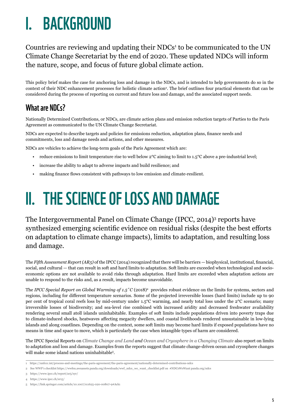## <span id="page-4-0"></span>I. BACKGROUND

Countries are reviewing and updating their  $NDCs<sup>1</sup>$  to be communicated to the UN Climate Change Secretariat by the end of 2020. These updated NDCs will inform the nature, scope, and focus of future global climate action.

This policy brief makes the case for anchoring loss and damage in the NDCs, and is intended to help governments do so in the context of their NDC enhancement processes for holistic climate action2 . The brief outlines four practical elements that can be considered during the process of reporting on current and future loss and damage, and the associated support needs.

### What are NDCs?

Nationally Determined Contributions, or NDCs, are climate action plans and emission reduction targets of Parties to the Paris Agreement as communicated to the UN Climate Change Secretariat.

NDCs are expected to describe targets and policies for emissions reduction, adaptation plans, finance needs and commitments, loss and damage needs and actions, and other measures.

NDCs are vehicles to achieve the long-term goals of the Paris Agreement which are:

- reduce emissions to limit temperature rise to well below 2°C aiming to limit to 1.5°C above a pre-industrial level;
- increase the ability to adapt to adverse impacts and build resilience; and
- making finance flows consistent with pathways to low emission and climate-resilient.

## II. THE SCIENCE OF LOSS AND DAMAGE

The Intergovernmental Panel on Climate Change (IPCC, 2014)3 reports have synthesized emerging scientific evidence on residual risks (despite the best efforts on adaptation to climate change impacts), limits to adaptation, and resulting loss and damage.

The *Fifth Assessment Report (AR5)* of the IPCC (2014) recognized that there will be barriers — biophysical, institutional, financial, social, and cultural — that can result in soft and hard limits to adaptation. Soft limits are exceeded when technological and socioeconomic options are not available to avoid risks through adaptation. Hard limits are exceeded when adaptation actions are unable to respond to the risks and, as a result, impacts become unavoidable.

The *IPCC Special Report on Global Warming of 1.5˚C* (2018)4 provides robust evidence on the limits for systems, sectors and regions, including for different temperature scenarios. Some of the projected irreversible losses (hard limits) include up to 90 per cent of tropical coral reefs loss by mid-century under 1.5°C warming, and nearly total loss under the 2°C scenario; many irreversible losses of biodiversity; and sea-level rise combined with increased aridity and decreased freshwater availability rendering several small atoll islands uninhabitable. Examples of soft limits include populations driven into poverty traps due to climate-induced shocks, heatwaves affecting megacity dwellers, and coastal livelihoods rendered unsustainable in low-lying islands and along coastlines. Depending on the context, some soft limits may become hard limits if exposed populations have no means in time and space to move, which is particularly the case when intangible types of harm are considered.

The IPCC Special Reports on *[Climate Change and Land](https://www.ipcc.ch/srccl/) and Ocean and [Cryosphere in a Changing Climate](https://www.ipcc.ch/srocc/)* also report on limits to adaptation and loss and damage. Examples from the reports suggest that climate change-driven ocean and cryosphere changes will make some island nations uninhabitable<sup>5</sup>.

<sup>1</sup> <https://unfccc.int/process-and-meetings/the-paris-agreement/the-paris-agreement/nationally-determined-contributions-ndcs>

<sup>2</sup> See WWF's checklist [https://wwfeu.awsassets.panda.org/downloads/wwf\\_ndcs\\_we\\_want\\_checklist.pdf](https://wwfeu.awsassets.panda.org/downloads/wwf_ndcs_we_want_checklist.pdf) on #NDCsWeWant panda.org/ndcs

<sup>3</sup> https://www.ipcc.ch/report/ar5/syr/

<sup>4</sup> <https://www.ipcc.ch/sr15/>

<sup>5</sup> <https://link.springer.com/article/10.1007/s11625-020-00807-9#Ack1>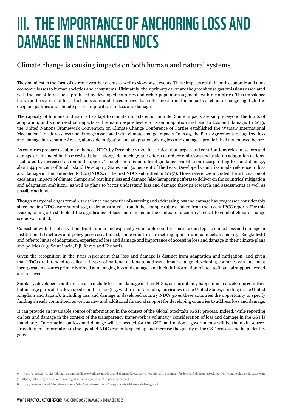## <span id="page-5-0"></span>III. THE IMPORTANCE OF ANCHORING LOSS AND DAMAGE IN ENHANCED NDCS

### Climate change is causing impacts on both human and natural systems.

They manifest in the form of extreme weather events as well as slow-onset events. These impacts result in both economic and noneconomic losses to human societies and ecosystems. Ultimately, their primary cause are the greenhouse gas emissions associated with the use of fossil fuels, produced by developed countries and richer population segments within countries. This imbalance between the sources of fossil fuel emissions and the countries that suffer most from the impacts of climate change highlight the deep inequalities and climate justice implications of loss and damage.

The capacity of humans and nature to adapt to climate impacts is not infinite. Some impacts are simply beyond the limits of adaptation, and some residual impacts will remain despite best efforts on adaptation and lead to loss and damage. In 2013, the United Nations Framework Convention on Climate Change Conference of Parties established the Warsaw International Mechanism<sup>6</sup> to address loss and damage associated with climate change impacts. In 2015, the Paris Agreement<sup>7</sup> recognized loss and damage in a separate Article, alongside mitigation and adaptation, giving loss and damage a profile it had not enjoyed before.

As countries prepare to submit enhanced NDCs by December 2020, it is critical that targets and contributions relevant to loss and damage are included in those revised plans, alongside much greater efforts to reduce emissions and scale-up adaptation actions, facilitated by increased action and support. Though there is no official guidance available on incorporating loss and damage, about 44 per cent of Small Island Developing States and 34 per cent of the Least Developed Countries made reference to loss and damage in their Intended NDCs (INDCs, or the first NDCs submitted in 20158). These references included the articulation of escalating impacts of climate change and resulting loss and damage (also hampering efforts to deliver on the countries' mitigation and adaptation ambition), as well as plans to better understand loss and damage through research and assessments as well as possible actions.

Though many challenges remain, the science and practice of assessing and addressing loss and damage has progressed considerably since the first NDCs were submitted, as demonstrated through the examples above, taken from the recent IPCC reports. For this reason, taking a fresh look at the significance of loss and damage in the context of a country's effort to combat climate change seems warranted.

Consistent with this observation, front-runner and especially vulnerable countries have taken steps to embed loss and damage in institutional structures and policy processes. Indeed, some countries are setting up institutional mechanisms (e.g. Bangladesh) and refer to limits of adaptation, experienced loss and damage and importance of accessing loss and damage in their climate plans and policies (e.g. Saint Lucia, Fiji, Kenya and Kiribati).

Given the recognition in the Paris Agreement that loss and damage is distinct from adaptation and mitigation, and given that NDCs are intended to collect all types of national actions to address climate change, developing countries can and must incorporate measures primarily aimed at managing loss and damage, and include information related to financial support needed and received.

Similarly, developed countries can also include loss and damage in their NDCs, as it is not only happening in developing countries but in large parts of the developed countries too (e.g. wildfires in Australia, hurricanes in the United States, flooding in the United Kingdom and Japan.). Including loss and damage in developed country NDCs gives these countries the opportunity to specify funding already committed, as well as new and additional financial support for developing countries to address loss and damage.

It can provide an invaluable source of information in the context of the Global Stocktake (GST) process. Indeed, while reporting on loss and damage in the context of the transparency framework is voluntary, consideration of loss and damage in the GST is mandatory. Information on loss and damage will be needed for the GST, and national governments will be the main source. Providing this information in the updated NDCs can only speed up and increase the quality of the GST process and help identify gaps.

<sup>6</sup> <https://unfccc.int/topics/adaptation-and-resilience/workstreams/loss-and-damage-ld/warsaw-international-mechanism-for-loss-and-damage-associated-with-climate-change-impacts-wim>

<sup>7</sup> https://unfccc.int/process-and-meetings/the-paris-agreement/the-paris-agreement

<sup>8</sup> <https://www.ucl.ac.uk/global-governance/sites/global-governance/files/policy-brief-loss-and-damage.pdf>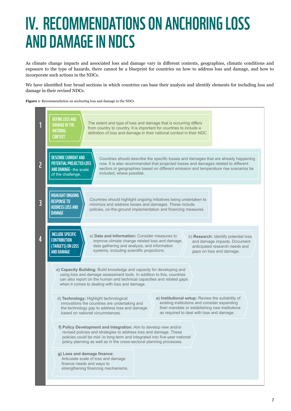## <span id="page-6-0"></span>IV. RECOMMENDATIONS ON ANCHORING LOSS AND DAMAGE IN NDCS

As climate change impacts and associated loss and damage vary in different contexts, geographies, climatic conditions and exposure to the type of hazards, there cannot be a blueprint for countries on how to address loss and damage, and how to incorporate such actions in the NDCs.

We have identified four broad sections in which countries can base their analysis and identify elements for including loss and damage in their revised NDCs.

**Figure 1**: Recommendation on anchoring loss and damage in the NDCs

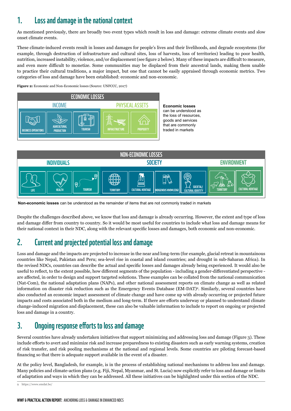### <span id="page-7-0"></span>1. Loss and damage in the national context

As mentioned previously, there are broadly two event types which result in loss and damage: extreme climate events and slow onset climate events.

These climate-induced events result in losses and damages for people's lives and their livelihoods, and degrade ecosystems (for example, through destruction of infrastructure and cultural sites, loss of harvests, loss of territories) leading to poor health, nutrition, increased instability, violence, and/or displacement (see figure 2 below). Many of these impacts are difficult to measure, and even more difficult to monetize. Some communities may be displaced from their ancestral lands, making them unable to practice their cultural traditions, a major impact, but one that cannot be easily appraised through economic metrics. Two categories of loss and damage have been established: economic and non-economic.

**Figure 2:** Economic and Non-Economic losses (Source: UNFCCC, 2017)





**Non-economic losses** can be understood as the remainder of items that are not commonly traded in markets

Despite the challenges described above, we know that loss and damage is already occurring. However, the extent and type of loss and damage differ from country to country. So it would be most useful for countries to include what loss and damage means for their national context in their NDC, along with the relevant specific losses and damages, both economic and non-economic.

### 2. Current and projected potential loss and damage

Loss and damage and the impacts are projected to increase in the near and long-term (for example, glacial retreat in mountainous countries like Nepal, Pakistan and Peru; sea-level rise in coastal and island countries; and drought in sub-Saharan Africa). In the revised NDCs, countries can describe the actual and specific losses and damages already being experienced. It would also be useful to reflect, to the extent possible, how different segments of the population - including a gender-differentiated perspective are affected, in order to design and support targeted solutions. These examples can be collated from the national communication (Nat-Com), the national adaptation plans (NAPs), and other national assessment reports on climate change as well as related information on disaster risk reduction such as the Emergency Events Database (EM-DAT)9 . Similarly, several countries have also conducted an economic impact assessment of climate change and have come up with already occurring or projected future impacts and costs associated both in the medium and long-term. If there are efforts underway or planned to understand climate change-induced migration and displacement, these can also be valuable information to include to report on ongoing or projected loss and damage in a country.

## 3. Ongoing response efforts to loss and damage

Several countries have already undertaken initiatives that support minimizing and addressing loss and damage (Figure 3). These include efforts to avert and minimize risk and increase preparedness to existing disasters such as early warning systems, creation of risk transfer, and risk pooling mechanisms at the national and regional levels. Some countries are piloting forecast-based financing so that there is adequate support available in the event of a disaster.

At the policy level, Bangladesh, for example, is in the process of establishing national mechanisms to address loss and damage. Many policies and climate-action plans (e.g. Fiji, Nepal, Myanmar, and St. Lucia) now explicitly refer to loss and damage or limits of adaptation and ways in which they can be addressed. All these initiatives can be highlighted under this section of the NDC.

9 <https://www.emdat.be/>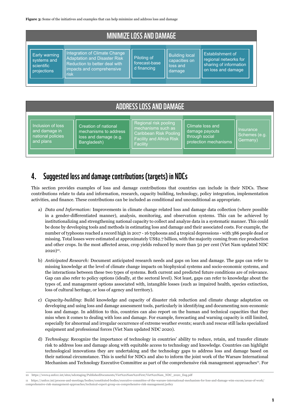<span id="page-8-0"></span>Figure 3: Some of the initiatives and examples that can help minimize and address loss and damage

| <b>MINIMIZE LOSS AND DAMAGE</b>                           |                                                                                                                                            |                                             |                                                              |                                                                                           |  |
|-----------------------------------------------------------|--------------------------------------------------------------------------------------------------------------------------------------------|---------------------------------------------|--------------------------------------------------------------|-------------------------------------------------------------------------------------------|--|
| Early warning<br>systems and<br>scientific<br>projections | Integration of Climate Change<br><b>Adaptation and Disaster Risk</b><br>Reduction to better deal with<br>impacts and comprehensive<br>risk | Piloting of<br>forecast-base<br>d financing | <b>Building local</b><br>capacities on<br>loss and<br>damage | Establishment of<br>regional networks for<br>sharing of information<br>on loss and damage |  |

### ADDRESS LOSS AND DAMAGE

Inclusion of loss and damage in national policies and plans

Creation of national mechanisms to address loss and damage (e.g. Bangladesh)

Regional risk pooling Caribbean Risk Pooling Facility and Africa Risk **Facility** 

Climate loss and damage payouts through social protection mechanisms

Insurance Schemes (e.g. Germany)

### 4. Suggested loss and damage contributions (targets) in NDCs

This section provides examples of loss and damage contributions that countries can include in their NDCs. These contributions relate to data and information, research, capacity building, technology, policy integration, implementation activities, and finance. These contributions can be included as conditional and unconditional as appropriate.

- a) *Data and Information:* Improvements in climate change related loss and damage data collection (where possible in a gender-differentiated manner), analysis, monitoring, and observation systems. This can be achieved by institutionalizing and strengthening national capacity to collect and analyze data in a systematic manner. This could be done by developing tools and methods in estimating loss and damage and their associated costs. For example, the number of typhoons reached a record high in 2017 - 16 typhoons and 4 tropical depressions - with 386 people dead or missing. Total losses were estimated at approximately US\$2.7 billion, with the majority coming from rice production and other crops. In the most affected areas, crop yields reduced by more than 50 per cent (Viet Nam updated NDC  $2020)$ <sup>10</sup>.
- b) *Anticipated Research:* Document anticipated research needs and gaps on loss and damage. The gaps can refer to missing knowledge at the level of climate change impacts on biophysical systems and socio-economic systems, and the interactions between these two types of systems. Both current and predicted future conditions are of relevance. Gap can also refer to policy options (ideally, at the sectoral level). Not least, gaps can refer to knowledge about the types of, and management options associated with, intangible losses (such as impaired health, species extinction, loss of cultural heritage, or loss of agency and territory).
- c) *Capacity-building*: Build knowledge and capacity of disaster risk reduction and climate change adaptation on developing and using loss and damage assessment tools, particularly in identifying and documenting non-economic loss and damage. In addition to this, countries can also report on the human and technical capacities that they miss when it comes to dealing with loss and damage. For example, forecasting and warning capacity is still limited, especially for abnormal and irregular occurrence of extreme weather events; search and rescue still lacks specialized equipment and professional forces (Viet Nam updated NDC 2020).
- d) *Technology*: Recognize the importance of technology in countries' ability to reduce, retain, and transfer climate risk to address loss and damage along with equitable access to technology and knowledge. Countries can highlight technological innovations they are undertaking and the technology gaps to address loss and damage based on their national circumstance. This is useful for NDCs and also to inform the joint work of the Warsaw International Mechanism and Technology Executive Committee as part of the comprehensive risk management approaches<sup>11</sup>. For

[comprehensive-risk-management-approaches/technical-expert-group-on-comprehensive-risk-management/policy](https://unfccc.int/process-and-meetings/bodies/constituted-bodies/executive-committee-of-the-warsaw-international-mechanism-for-loss-and-damage-wim-excom/areas-of-work/comprehensive-risk-management-approaches/technical-expert-group-on-comprehensive-risk-m)

<sup>10</sup> [https://www4.unfccc.int/sites/ndcstaging/PublishedDocuments/Viet%20Nam%20First/Viet%20Nam\\_NDC\\_2020\\_Eng.pdf](https://www4.unfccc.int/sites/ndcstaging/PublishedDocuments/Viet%20Nam%20First/Viet%20Nam_NDC_2020_Eng.pdf)

<sup>11</sup> [https://unfccc.int/process-and-meetings/bodies/constituted-bodies/executive-committee-of-the-warsaw-international-mechanism-for-loss-and-damage-wim-excom/areas-of-work/](https://unfccc.int/process-and-meetings/bodies/constituted-bodies/executive-committee-of-the-warsaw-international-mechanism-for-loss-and-damage-wim-excom/areas-of-work/comprehensive-risk-management-approaches/technical-expert-group-on-comprehensive-risk-m)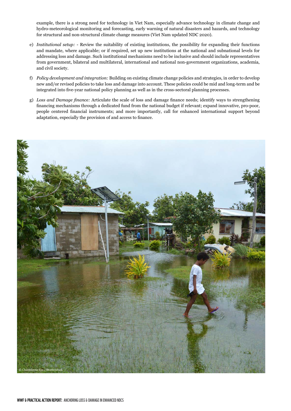example, there is a strong need for technology in Viet Nam, especially advance technology in climate change and hydro-meteorological monitoring and forecasting, early warning of natural disasters and hazards, and technology for structural and non-structural climate change measures (Viet Nam updated NDC 2020).

- e) *Institutional setup:* Review the suitability of existing institutions, the possibility for expanding their functions and mandate, where applicable; or if required, set up new institutions at the national and subnational levels for addressing loss and damage. Such institutional mechanisms need to be inclusive and should include representatives from government, bilateral and multilateral, international and national non-government organizations, academia, and civil society.
- f) *Policy development and integration:* Building on existing climate change policies and strategies, in order to develop new and/or revised policies to take loss and damage into account. These policies could be mid and long-term and be integrated into five-year national policy planning as well as in the cross-sectoral planning processes.
- g) *Loss and Damage finance:* Articulate the scale of loss and damage finance needs; identify ways to strengthening financing mechanisms through a dedicated fund from the national budget if relevant; expand innovative, pro-poor, people centered financial instruments; and more importantly, call for enhanced international support beyond adaptation, especially the provision of and access to finance.